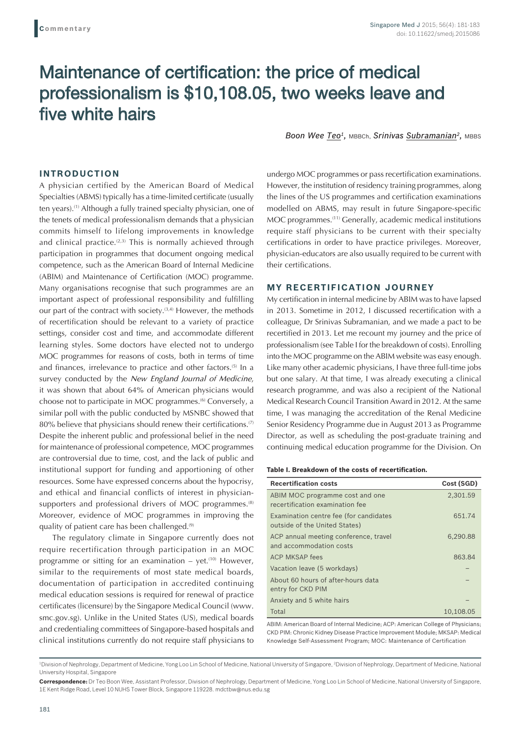# Maintenance of certification: the price of medical professionalism is \$10,108.05, two weeks leave and five white hairs

*Boon Wee Teo1,* MBBCh, *Srinivas Subramanian2,* MBBS

### **INTRODUCTION**

A physician certified by the American Board of Medical Specialties (ABMS) typically has a time-limited certificate (usually ten years).(1) Although a fully trained specialty physician, one of the tenets of medical professionalism demands that a physician commits himself to lifelong improvements in knowledge and clinical practice.<sup> $(2,3)$ </sup> This is normally achieved through participation in programmes that document ongoing medical competence, such as the American Board of Internal Medicine (ABIM) and Maintenance of Certification (MOC) programme. Many organisations recognise that such programmes are an important aspect of professional responsibility and fulfilling our part of the contract with society.<sup>(3,4)</sup> However, the methods of recertification should be relevant to a variety of practice settings, consider cost and time, and accommodate different learning styles. Some doctors have elected not to undergo MOC programmes for reasons of costs, both in terms of time and finances, irrelevance to practice and other factors.<sup>(5)</sup> In a survey conducted by the *New England Journal of Medicine*, it was shown that about 64% of American physicians would choose not to participate in MOC programmes.<sup>(6)</sup> Conversely, a similar poll with the public conducted by MSNBC showed that 80% believe that physicians should renew their certifications.<sup>(7)</sup> Despite the inherent public and professional belief in the need for maintenance of professional competence, MOC programmes are controversial due to time, cost, and the lack of public and institutional support for funding and apportioning of other resources. Some have expressed concerns about the hypocrisy, and ethical and financial conflicts of interest in physiciansupporters and professional drivers of MOC programmes.<sup>(8)</sup> Moreover, evidence of MOC programmes in improving the quality of patient care has been challenged.<sup>(9)</sup>

The regulatory climate in Singapore currently does not require recertification through participation in an MOC programme or sitting for an examination  $-$  yet.<sup> $(10)$ </sup> However, similar to the requirements of most state medical boards, documentation of participation in accredited continuing medical education sessions is required for renewal of practice certificates (licensure) by the Singapore Medical Council (www. smc.gov.sg). Unlike in the United States (US), medical boards and credentialing committees of Singapore-based hospitals and clinical institutions currently do not require staff physicians to undergo MOC programmes or pass recertification examinations. However, the institution of residency training programmes, along the lines of the US programmes and certification examinations modelled on ABMS, may result in future Singapore-specific MOC programmes.(11) Generally, academic medical institutions require staff physicians to be current with their specialty certifications in order to have practice privileges. Moreover, physician-educators are also usually required to be current with their certifications.

## **MY RECERTIFICATION JOURNEY**

My certification in internal medicine by ABIM was to have lapsed in 2013. Sometime in 2012, I discussed recertification with a colleague, Dr Srinivas Subramanian, and we made a pact to be recertified in 2013. Let me recount my journey and the price of professionalism (see Table I for the breakdown of costs). Enrolling into the MOC programme on the ABIM website was easy enough. Like many other academic physicians, I have three full-time jobs but one salary. At that time, I was already executing a clinical research programme, and was also a recipient of the National Medical Research Council Transition Award in 2012. At the same time, I was managing the accreditation of the Renal Medicine Senior Residency Programme due in August 2013 as Programme Director, as well as scheduling the post-graduate training and continuing medical education programme for the Division. On

#### **Table I. Breakdown of the costs of recertification.**

| <b>Recertification costs</b>                                            | Cost (SGD) |
|-------------------------------------------------------------------------|------------|
| ABIM MOC programme cost and one<br>recertification examination fee      | 2,301.59   |
| Examination centre fee (for candidates<br>outside of the United States) | 651.74     |
| ACP annual meeting conference, travel<br>and accommodation costs        | 6.290.88   |
| <b>ACP MKSAP fees</b>                                                   | 863.84     |
| Vacation leave (5 workdays)                                             |            |
| About 60 hours of after-hours data<br>entry for CKD PIM                 |            |
| Anxiety and 5 white hairs                                               |            |
| Total                                                                   | 10,108.05  |

ABIM: American Board of Internal Medicine; ACP: American College of Physicians; CKD PIM: Chronic Kidney Disease Practice Improvement Module; MKSAP: Medical Knowledge Self-Assessment Program: MOC: Maintenance of Certification

<sup>&</sup>lt;sup>1</sup>Division of Nephrology, Department of Medicine, Yong Loo Lin School of Medicine, National University of Singapore, <sup>2</sup>Division of Nephrology, Department of Medicine, National University Hospital, Singapore

**Correspondence:** Dr Teo Boon Wee, Assistant Professor, Division of Nephrology, Department of Medicine, Yong Loo Lin School of Medicine, National University of Singapore, 1E Kent Ridge Road, Level 10 NUHS Tower Block, Singapore 119228. mdctbw@nus.edu.sg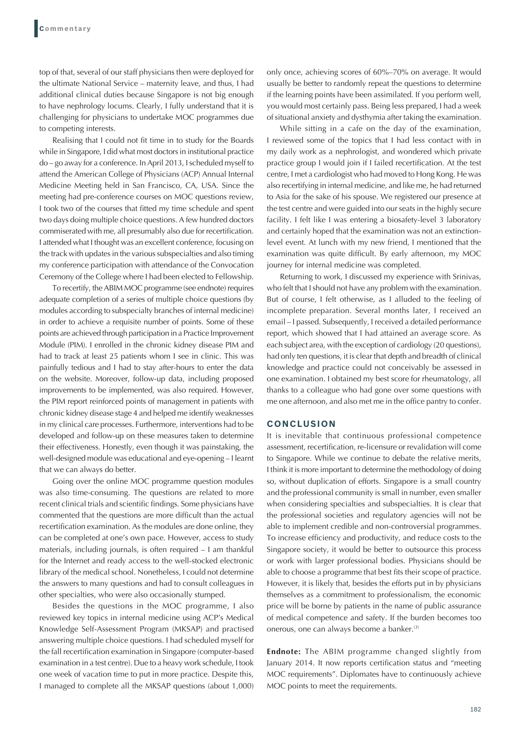top of that, several of our staff physicians then were deployed for the ultimate National Service – maternity leave, and thus, I had additional clinical duties because Singapore is not big enough to have nephrology locums. Clearly, I fully understand that it is challenging for physicians to undertake MOC programmes due to competing interests.

Realising that I could not fit time in to study for the Boards while in Singapore, I did what most doctors in institutional practice do – go away for a conference. In April 2013, I scheduled myself to attend the American College of Physicians (ACP) Annual Internal Medicine Meeting held in San Francisco, CA, USA. Since the meeting had pre-conference courses on MOC questions review, I took two of the courses that fitted my time schedule and spent two days doing multiple choice questions. A few hundred doctors commiserated with me, all presumably also due for recertification. I attended what I thought was an excellent conference, focusing on the track with updates in the various subspecialties and also timing my conference participation with attendance of the Convocation Ceremony of the College where I had been elected to Fellowship.

To recertify, the ABIM MOC programme (see endnote) requires adequate completion of a series of multiple choice questions (by modules according to subspecialty branches of internal medicine) in order to achieve a requisite number of points. Some of these points are achieved through participation in a Practice Improvement Module (PIM). I enrolled in the chronic kidney disease PIM and had to track at least 25 patients whom I see in clinic. This was painfully tedious and I had to stay after-hours to enter the data on the website. Moreover, follow-up data, including proposed improvements to be implemented, was also required. However, the PIM report reinforced points of management in patients with chronic kidney disease stage 4 and helped me identify weaknesses in my clinical care processes. Furthermore, interventions had to be developed and follow-up on these measures taken to determine their effectiveness. Honestly, even though it was painstaking, the well-designed module was educational and eye-opening – I learnt that we can always do better.

Going over the online MOC programme question modules was also time-consuming. The questions are related to more recent clinical trials and scientific findings. Some physicians have commented that the questions are more difficult than the actual recertification examination. As the modules are done online, they can be completed at one's own pace. However, access to study materials, including journals, is often required – I am thankful for the Internet and ready access to the well-stocked electronic library of the medical school. Nonetheless, I could not determine the answers to many questions and had to consult colleagues in other specialties, who were also occasionally stumped.

Besides the questions in the MOC programme, I also reviewed key topics in internal medicine using ACP's Medical Knowledge Self-Assessment Program (MKSAP) and practised answering multiple choice questions. I had scheduled myself for the fall recertification examination in Singapore (computer-based examination in a test centre). Due to a heavy work schedule, I took one week of vacation time to put in more practice. Despite this, I managed to complete all the MKSAP questions (about 1,000) only once, achieving scores of 60%–70% on average. It would usually be better to randomly repeat the questions to determine if the learning points have been assimilated. If you perform well, you would most certainly pass. Being less prepared, I had a week of situational anxiety and dysthymia after taking the examination.

While sitting in a cafe on the day of the examination, I reviewed some of the topics that I had less contact with in my daily work as a nephrologist, and wondered which private practice group I would join if I failed recertification. At the test centre, I met a cardiologist who had moved to Hong Kong. He was also recertifying in internal medicine, and like me, he had returned to Asia for the sake of his spouse. We registered our presence at the test centre and were guided into our seats in the highly secure facility. I felt like I was entering a biosafety-level 3 laboratory and certainly hoped that the examination was not an extinctionlevel event. At lunch with my new friend, I mentioned that the examination was quite difficult. By early afternoon, my MOC journey for internal medicine was completed.

Returning to work, I discussed my experience with Srinivas, who felt that I should not have any problem with the examination. But of course, I felt otherwise, as I alluded to the feeling of incomplete preparation. Several months later, I received an email – I passed. Subsequently, I received a detailed performance report, which showed that I had attained an average score. As each subject area, with the exception of cardiology (20 questions), had only ten questions, it is clear that depth and breadth of clinical knowledge and practice could not conceivably be assessed in one examination. I obtained my best score for rheumatology, all thanks to a colleague who had gone over some questions with me one afternoon, and also met me in the office pantry to confer.

## **CONCLUSION**

It is inevitable that continuous professional competence assessment, recertification, re-licensure or revalidation will come to Singapore. While we continue to debate the relative merits, I think it is more important to determine the methodology of doing so, without duplication of efforts. Singapore is a small country and the professional community is small in number, even smaller when considering specialties and subspecialties. It is clear that the professional societies and regulatory agencies will not be able to implement credible and non-controversial programmes. To increase efficiency and productivity, and reduce costs to the Singapore society, it would be better to outsource this process or work with larger professional bodies. Physicians should be able to choose a programme that best fits their scope of practice. However, it is likely that, besides the efforts put in by physicians themselves as a commitment to professionalism, the economic price will be borne by patients in the name of public assurance of medical competence and safety. If the burden becomes too onerous, one can always become a banker.<sup>(3)</sup>

**Endnote:** The ABIM programme changed slightly from January 2014. It now reports certification status and "meeting MOC requirements". Diplomates have to continuously achieve MOC points to meet the requirements.